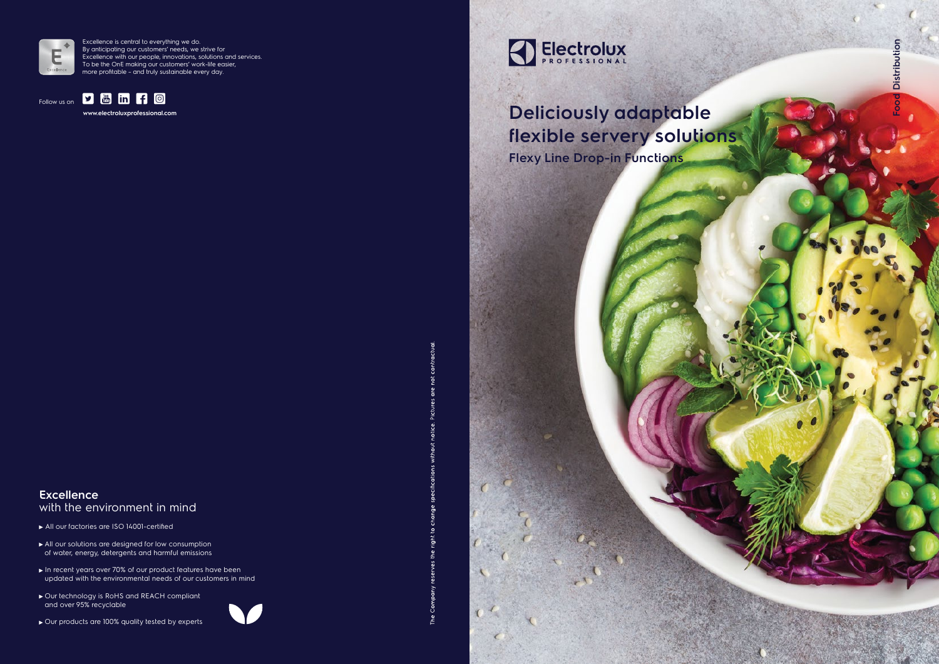## **Excellence** with the environment in mind



- All our factories are ISO 14001-certified
- All our solutions are designed for low consumption of water, energy, detergents and harmful emissions
- In recent years over 70% of our product features have been updated with the environmental needs of our customers in mind
- ▶ Our technology is RoHS and REACH compliant and over 95% recyclable







**www.electroluxprofessional.com**



Excellence is central to everything we do. By anticipating our customers' needs, we strive for Excellence with our people, innovations, solutions and services. To be the OnE making our customers' work-life easier, more profitable – and truly sustainable every day.